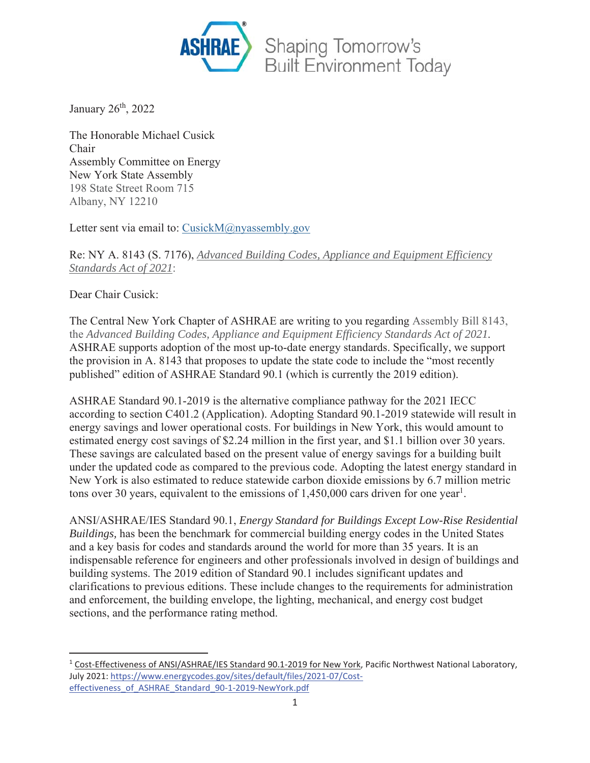

January 26<sup>th</sup>, 2022

The Honorable Michael Cusick Chair Assembly Committee on Energy New York State Assembly 198 State Street Room 715 Albany, NY 12210

Letter sent via email to: CusickM@nyassembly.gov

Re: NY A. 8143 (S. 7176), *Advanced Building Codes, Appliance and Equipment Efficiency Standards Act of 2021*:

Dear Chair Cusick:

The Central New York Chapter of ASHRAE are writing to you regarding Assembly Bill 8143, the *Advanced Building Codes, Appliance and Equipment Efficiency Standards Act of 2021*. ASHRAE supports adoption of the most up-to-date energy standards. Specifically, we support the provision in A. 8143 that proposes to update the state code to include the "most recently published" edition of ASHRAE Standard 90.1 (which is currently the 2019 edition).

ASHRAE Standard 90.1-2019 is the alternative compliance pathway for the 2021 IECC according to section C401.2 (Application). Adopting Standard 90.1-2019 statewide will result in energy savings and lower operational costs. For buildings in New York, this would amount to estimated energy cost savings of \$2.24 million in the first year, and \$1.1 billion over 30 years. These savings are calculated based on the present value of energy savings for a building built under the updated code as compared to the previous code. Adopting the latest energy standard in New York is also estimated to reduce statewide carbon dioxide emissions by 6.7 million metric tons over 30 years, equivalent to the emissions of  $1,450,000$  cars driven for one year<sup>1</sup>.

ANSI/ASHRAE/IES Standard 90.1, *Energy Standard for Buildings Except Low-Rise Residential Buildings,* has been the benchmark for commercial building energy codes in the United States and a key basis for codes and standards around the world for more than 35 years. It is an indispensable reference for engineers and other professionals involved in design of buildings and building systems. The 2019 edition of Standard 90.1 includes significant updates and clarifications to previous editions. These include changes to the requirements for administration and enforcement, the building envelope, the lighting, mechanical, and energy cost budget sections, and the performance rating method.

<sup>&</sup>lt;sup>1</sup> Cost-Effectiveness of ANSI/ASHRAE/IES Standard 90.1-2019 for New York, Pacific Northwest National Laboratory, July 2021: https://www.energycodes.gov/sites/default/files/2021-07/Costeffectiveness\_of\_ASHRAE\_Standard\_90-1-2019-NewYork.pdf